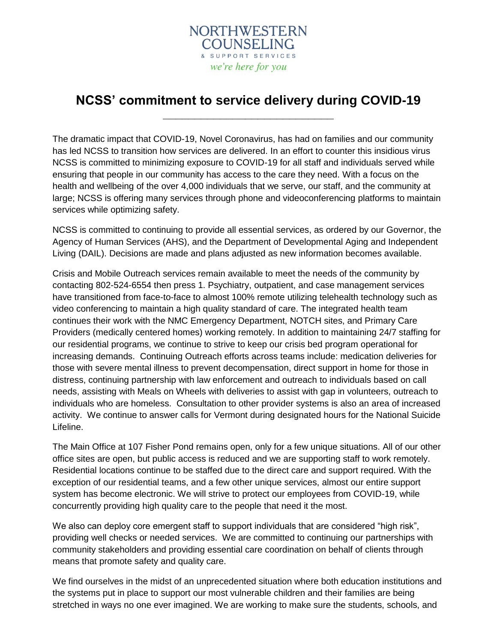

## **NCSS' commitment to service delivery during COVID-19 \_\_\_\_\_\_\_\_\_\_\_\_\_\_\_\_\_\_\_\_\_\_\_\_\_\_\_**

The dramatic impact that COVID-19, Novel Coronavirus, has had on families and our community has led NCSS to transition how services are delivered. In an effort to counter this insidious virus NCSS is committed to minimizing exposure to COVID-19 for all staff and individuals served while ensuring that people in our community has access to the care they need. With a focus on the health and wellbeing of the over 4,000 individuals that we serve, our staff, and the community at large; NCSS is offering many services through phone and videoconferencing platforms to maintain services while optimizing safety.

NCSS is committed to continuing to provide all essential services, as ordered by our Governor, the Agency of Human Services (AHS), and the Department of Developmental Aging and Independent Living (DAIL). Decisions are made and plans adjusted as new information becomes available.

Crisis and Mobile Outreach services remain available to meet the needs of the community by contacting 802-524-6554 then press 1. Psychiatry, outpatient, and case management services have transitioned from face-to-face to almost 100% remote utilizing telehealth technology such as video conferencing to maintain a high quality standard of care. The integrated health team continues their work with the NMC Emergency Department, NOTCH sites, and Primary Care Providers (medically centered homes) working remotely. In addition to maintaining 24/7 staffing for our residential programs, we continue to strive to keep our crisis bed program operational for increasing demands. Continuing Outreach efforts across teams include: medication deliveries for those with severe mental illness to prevent decompensation, direct support in home for those in distress, continuing partnership with law enforcement and outreach to individuals based on call needs, assisting with Meals on Wheels with deliveries to assist with gap in volunteers, outreach to individuals who are homeless. Consultation to other provider systems is also an area of increased activity. We continue to answer calls for Vermont during designated hours for the National Suicide Lifeline.

The Main Office at 107 Fisher Pond remains open, only for a few unique situations. All of our other office sites are open, but public access is reduced and we are supporting staff to work remotely. Residential locations continue to be staffed due to the direct care and support required. With the exception of our residential teams, and a few other unique services, almost our entire support system has become electronic. We will strive to protect our employees from COVID-19, while concurrently providing high quality care to the people that need it the most.

We also can deploy core emergent staff to support individuals that are considered "high risk", providing well checks or needed services. We are committed to continuing our partnerships with community stakeholders and providing essential care coordination on behalf of clients through means that promote safety and quality care.

We find ourselves in the midst of an unprecedented situation where both education institutions and the systems put in place to support our most vulnerable children and their families are being stretched in ways no one ever imagined. We are working to make sure the students, schools, and